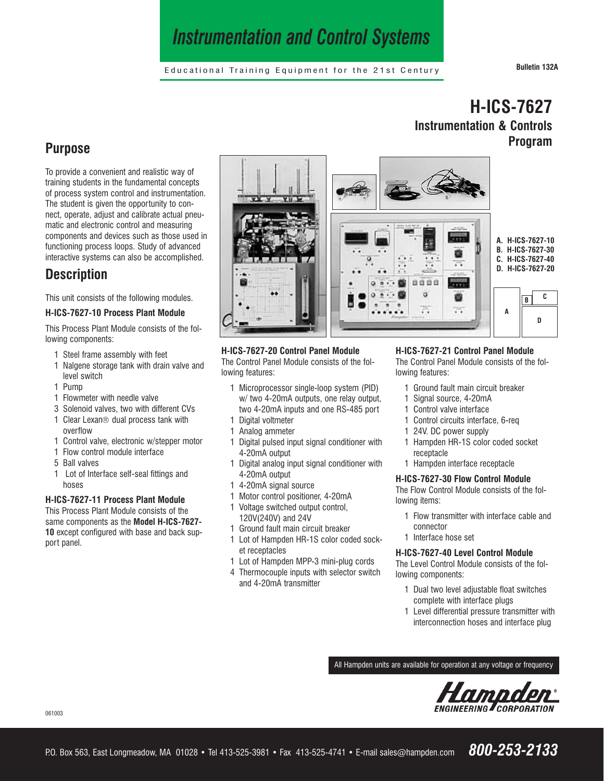# *Instrumentation and Control Systems*

Educational Training Equipment for the 21st Century **Bulletin 132A**

**Program**

**H-ICS-7627**

**Instrumentation & Controls**

## **Purpose**

To provide a convenient and realistic way of training students in the fundamental concepts of process system control and instrumentation. The student is given the opportunity to connect, operate, adjust and calibrate actual pneumatic and electronic control and measuring components and devices such as those used in functioning process loops. Study of advanced interactive systems can also be accomplished.

## **Description**

This unit consists of the following modules.

#### **H-ICS-7627-10 Process Plant Module**

This Process Plant Module consists of the following components:

- 1 Steel frame assembly with feet
- 1 Nalgene storage tank with drain valve and level switch
- 1 Pump
- 1 Flowmeter with needle valve
- 3 Solenoid valves, two with different CVs
- 1 Clear Lexan® dual process tank with overflow
- 1 Control valve, electronic w/stepper motor
- 1 Flow control module interface
- 5 Ball valves
- 1 Lot of Interface self-seal fittings and hoses

#### **H-ICS-7627-11 Process Plant Module**

This Process Plant Module consists of the same components as the **Model H-ICS-7627- 10** except configured with base and back support panel.



#### **H-ICS-7627-20 Control Panel Module**

The Control Panel Module consists of the following features:

- 1 Microprocessor single-loop system (PID) w/ two 4-20mA outputs, one relay output, two 4-20mA inputs and one RS-485 port 1 Digital voltmeter
- 1 Analog ammeter
- 1 Digital pulsed input signal conditioner with 4-20mA output
- 1 Digital analog input signal conditioner with 4-20mA output
- 1 4-20mA signal source
- 1 Motor control positioner, 4-20mA
- 1 Voltage switched output control,
- 120V(240V) and 24V
- 1 Ground fault main circuit breaker
- 1 Lot of Hampden HR-1S color coded socket receptacles
- 1 Lot of Hampden MPP-3 mini-plug cords
- 4 Thermocouple inputs with selector switch and 4-20mA transmitter

#### **H-ICS-7627-21 Control Panel Module**

The Control Panel Module consists of the following features:

- 1 Ground fault main circuit breaker
- 1 Signal source, 4-20mA
- 1 Control valve interface
- 1 Control circuits interface, 6-req
- 1 24V. DC power supply
- 1 Hampden HR-1S color coded socket receptacle
- 1 Hampden interface receptacle

#### **H-ICS-7627-30 Flow Control Module**

The Flow Control Module consists of the following items:

- 1 Flow transmitter with interface cable and connector
- 1 Interface hose set

#### **H-ICS-7627-40 Level Control Module**

The Level Control Module consists of the following components:

- 1 Dual two level adjustable float switches complete with interface plugs
- 1 Level differential pressure transmitter with interconnection hoses and interface plug

All Hampden units are available for operation at any voltage or frequency